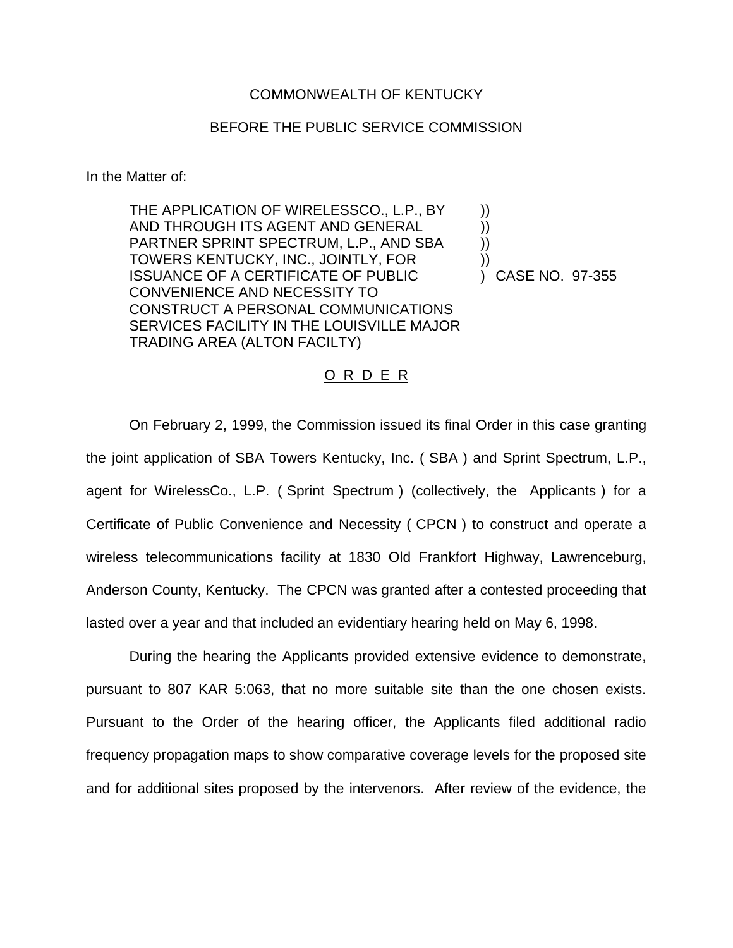## COMMONWEALTH OF KENTUCKY

## BEFORE THE PUBLIC SERVICE COMMISSION

In the Matter of:

THE APPLICATION OF WIRELESSCO., L.P., BY AND THROUGH ITS AGENT AND GENERAL PARTNER SPRINT SPECTRUM, L.P., AND SBA TOWERS KENTUCKY, INC., JOINTLY, FOR ISSUANCE OF A CERTIFICATE OF PUBLIC CONVENIENCE AND NECESSITY TO CONSTRUCT A PERSONAL COMMUNICATIONS SERVICES FACILITY IN THE LOUISVILLE MAJOR TRADING AREA (ALTON FACILTY) )) )) )) )) ) CASE NO. 97-355

## O R D E R

On February 2, 1999, the Commission issued its final Order in this case granting the joint application of SBA Towers Kentucky, Inc. ( SBA ) and Sprint Spectrum, L.P., agent for WirelessCo., L.P. ( Sprint Spectrum ) (collectively, the Applicants ) for a Certificate of Public Convenience and Necessity ( CPCN ) to construct and operate a wireless telecommunications facility at 1830 Old Frankfort Highway, Lawrenceburg, Anderson County, Kentucky. The CPCN was granted after a contested proceeding that lasted over a year and that included an evidentiary hearing held on May 6, 1998.

During the hearing the Applicants provided extensive evidence to demonstrate, pursuant to 807 KAR 5:063, that no more suitable site than the one chosen exists. Pursuant to the Order of the hearing officer, the Applicants filed additional radio frequency propagation maps to show comparative coverage levels for the proposed site and for additional sites proposed by the intervenors. After review of the evidence, the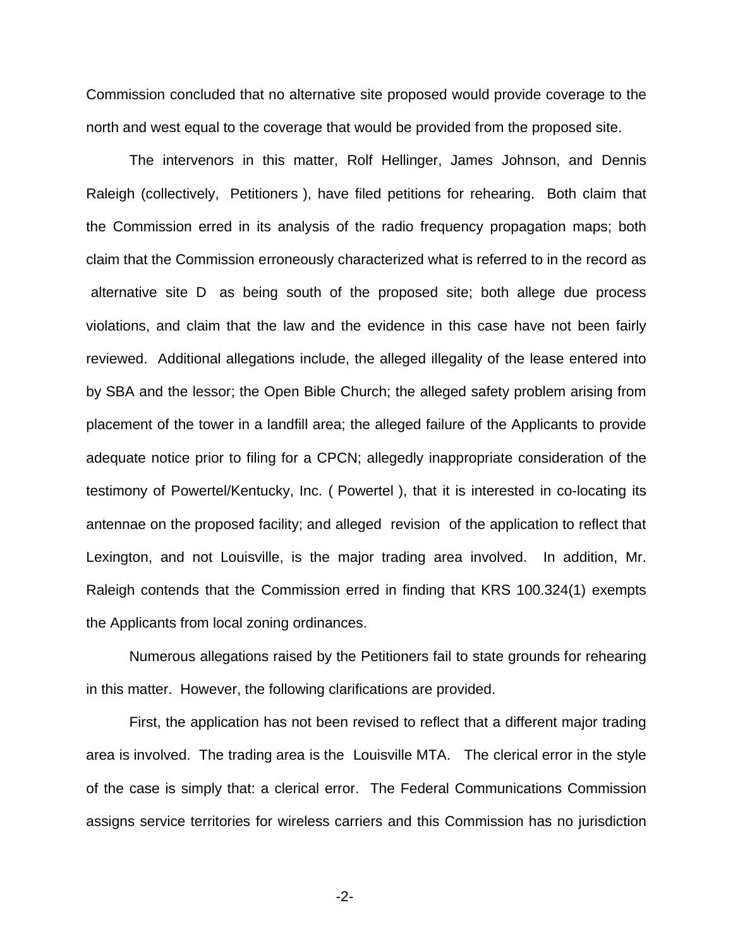Commission concluded that no alternative site proposed would provide coverage to the north and west equal to the coverage that would be provided from the proposed site.

The intervenors in this matter, Rolf Hellinger, James Johnson, and Dennis Raleigh (collectively, Petitioners ), have filed petitions for rehearing. Both claim that the Commission erred in its analysis of the radio frequency propagation maps; both claim that the Commission erroneously characterized what is referred to in the record as alternative site D as being south of the proposed site; both allege due process violations, and claim that the law and the evidence in this case have not been fairly reviewed. Additional allegations include, the alleged illegality of the lease entered into by SBA and the lessor; the Open Bible Church; the alleged safety problem arising from placement of the tower in a landfill area; the alleged failure of the Applicants to provide adequate notice prior to filing for a CPCN; allegedly inappropriate consideration of the testimony of Powertel/Kentucky, Inc. ( Powertel ), that it is interested in co-locating its antennae on the proposed facility; and alleged revision of the application to reflect that Lexington, and not Louisville, is the major trading area involved. In addition, Mr. Raleigh contends that the Commission erred in finding that KRS 100.324(1) exempts the Applicants from local zoning ordinances.

Numerous allegations raised by the Petitioners fail to state grounds for rehearing in this matter. However, the following clarifications are provided.

First, the application has not been revised to reflect that a different major trading area is involved. The trading area is the Louisville MTA. The clerical error in the style of the case is simply that: a clerical error. The Federal Communications Commission assigns service territories for wireless carriers and this Commission has no jurisdiction

-2-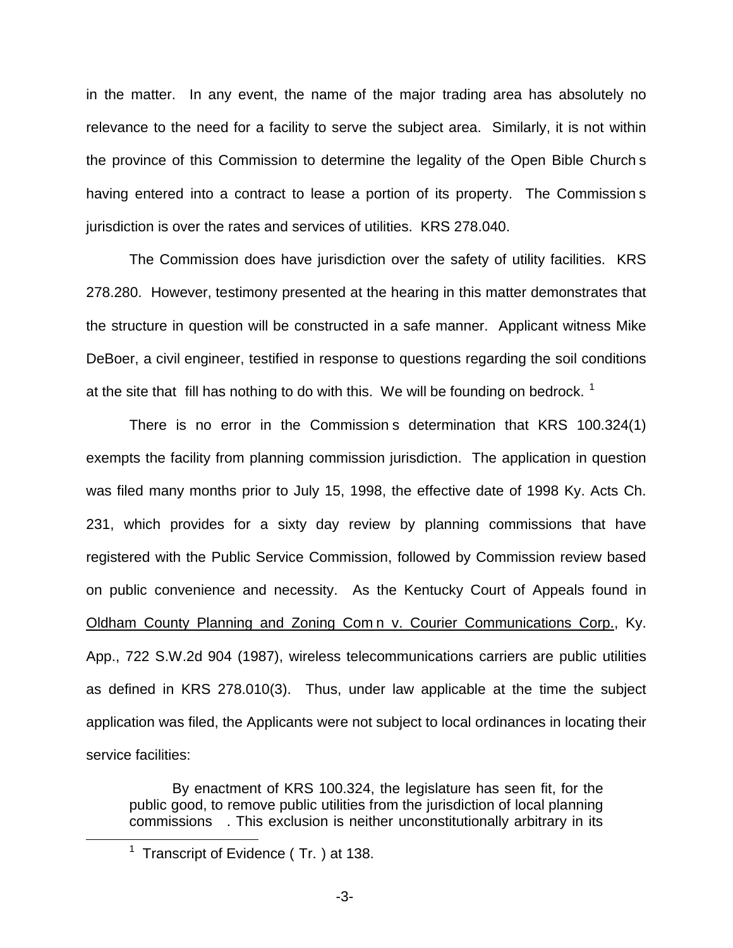in the matter. In any event, the name of the major trading area has absolutely no relevance to the need for a facility to serve the subject area. Similarly, it is not within the province of this Commission to determine the legality of the Open Bible Church s having entered into a contract to lease a portion of its property. The Commission s jurisdiction is over the rates and services of utilities. KRS 278.040.

The Commission does have jurisdiction over the safety of utility facilities. KRS 278.280. However, testimony presented at the hearing in this matter demonstrates that the structure in question will be constructed in a safe manner. Applicant witness Mike DeBoer, a civil engineer, testified in response to questions regarding the soil conditions at the site that fill has nothing to do with this. We will be founding on bedrock.  $1$ 

There is no error in the Commission s determination that KRS 100.324(1) exempts the facility from planning commission jurisdiction. The application in question was filed many months prior to July 15, 1998, the effective date of 1998 Ky. Acts Ch. 231, which provides for a sixty day review by planning commissions that have registered with the Public Service Commission, followed by Commission review based on public convenience and necessity. As the Kentucky Court of Appeals found in Oldham County Planning and Zoning Com n v. Courier Communications Corp., Ky. App., 722 S.W.2d 904 (1987), wireless telecommunications carriers are public utilities as defined in KRS 278.010(3). Thus, under law applicable at the time the subject application was filed, the Applicants were not subject to local ordinances in locating their service facilities:

By enactment of KRS 100.324, the legislature has seen fit, for the public good, to remove public utilities from the jurisdiction of local planning commissions . This exclusion is neither unconstitutionally arbitrary in its

 $1$  Transcript of Evidence (Tr. ) at 138.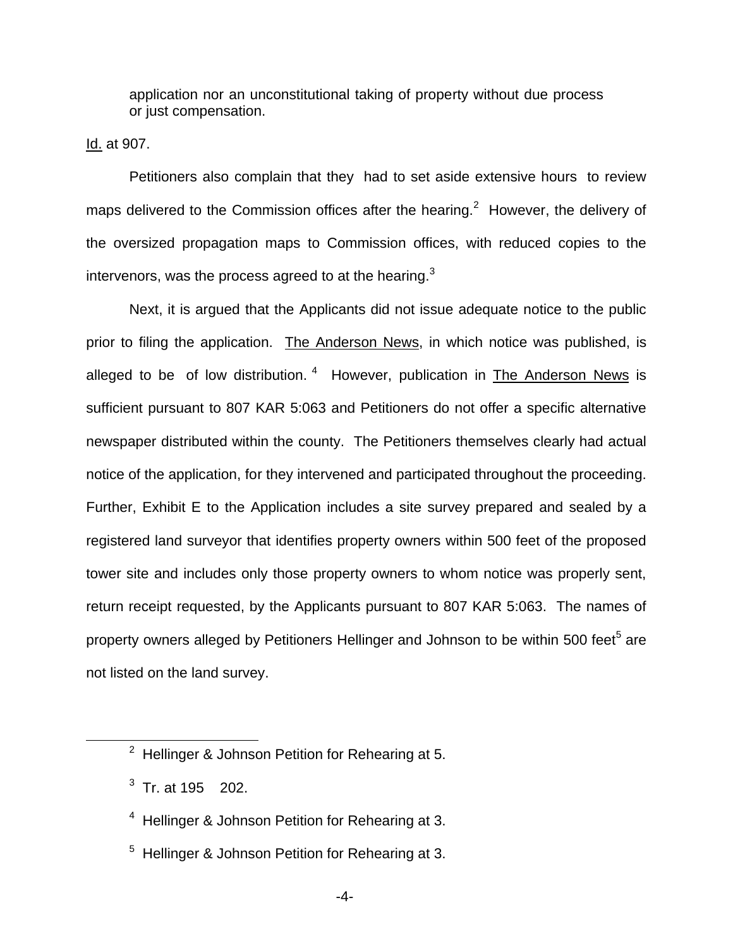application nor an unconstitutional taking of property without due process or just compensation.

Id. at 907.

Petitioners also complain that they had to set aside extensive hours to review maps delivered to the Commission offices after the hearing.<sup>2</sup> However, the delivery of the oversized propagation maps to Commission offices, with reduced copies to the intervenors, was the process agreed to at the hearing.<sup>3</sup>

Next, it is argued that the Applicants did not issue adequate notice to the public prior to filing the application. The Anderson News, in which notice was published, is alleged to be of low distribution.  $4$  However, publication in The Anderson News is sufficient pursuant to 807 KAR 5:063 and Petitioners do not offer a specific alternative newspaper distributed within the county. The Petitioners themselves clearly had actual notice of the application, for they intervened and participated throughout the proceeding. Further, Exhibit E to the Application includes a site survey prepared and sealed by a registered land surveyor that identifies property owners within 500 feet of the proposed tower site and includes only those property owners to whom notice was properly sent, return receipt requested, by the Applicants pursuant to 807 KAR 5:063. The names of property owners alleged by Petitioners Hellinger and Johnson to be within 500 feet<sup>5</sup> are not listed on the land survey.

 $3$  Tr. at 195 202.

<sup>2</sup> Hellinger & Johnson Petition for Rehearing at 5.

<sup>4</sup> Hellinger & Johnson Petition for Rehearing at 3.

<sup>5</sup> Hellinger & Johnson Petition for Rehearing at 3.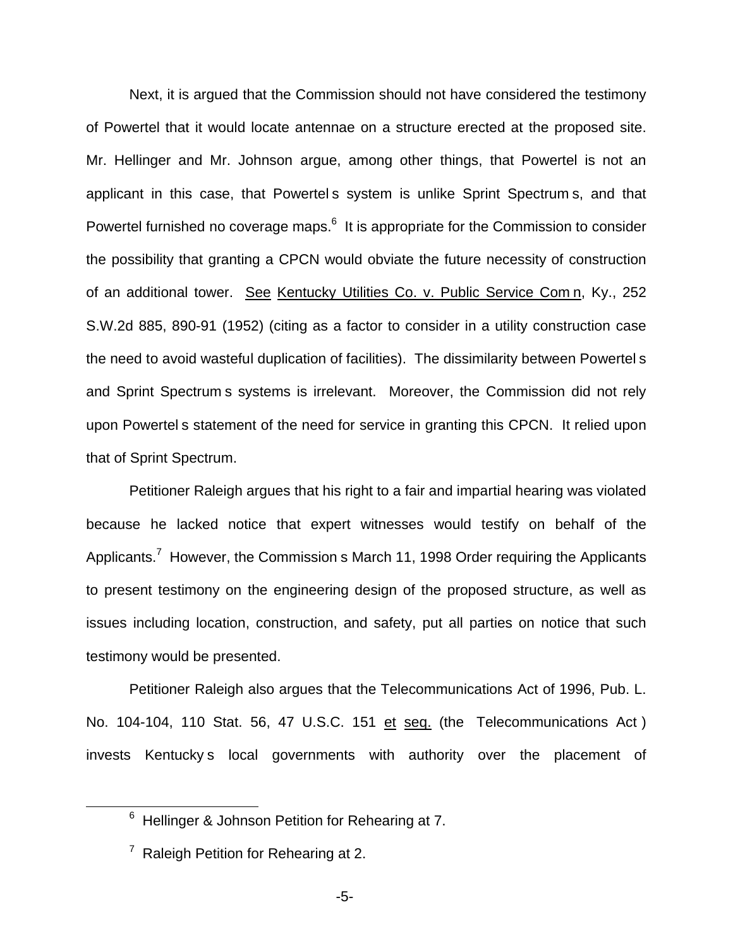Next, it is argued that the Commission should not have considered the testimony of Powertel that it would locate antennae on a structure erected at the proposed site. Mr. Hellinger and Mr. Johnson argue, among other things, that Powertel is not an applicant in this case, that Powertel s system is unlike Sprint Spectrum s, and that Powertel furnished no coverage maps.<sup>6</sup> It is appropriate for the Commission to consider the possibility that granting a CPCN would obviate the future necessity of construction of an additional tower. See Kentucky Utilities Co. v. Public Service Com n, Ky., 252 S.W.2d 885, 890-91 (1952) (citing as a factor to consider in a utility construction case the need to avoid wasteful duplication of facilities). The dissimilarity between Powertel s and Sprint Spectrum s systems is irrelevant. Moreover, the Commission did not rely upon Powertel s statement of the need for service in granting this CPCN. It relied upon that of Sprint Spectrum.

Petitioner Raleigh argues that his right to a fair and impartial hearing was violated because he lacked notice that expert witnesses would testify on behalf of the Applicants.<sup>7</sup> However, the Commission s March 11, 1998 Order requiring the Applicants to present testimony on the engineering design of the proposed structure, as well as issues including location, construction, and safety, put all parties on notice that such testimony would be presented.

Petitioner Raleigh also argues that the Telecommunications Act of 1996, Pub. L. No. 104-104, 110 Stat. 56, 47 U.S.C. 151 et seq. (the Telecommunications Act) invests Kentucky s local governments with authority over the placement of

<sup>6</sup> Hellinger & Johnson Petition for Rehearing at 7.

 $7$  Raleigh Petition for Rehearing at 2.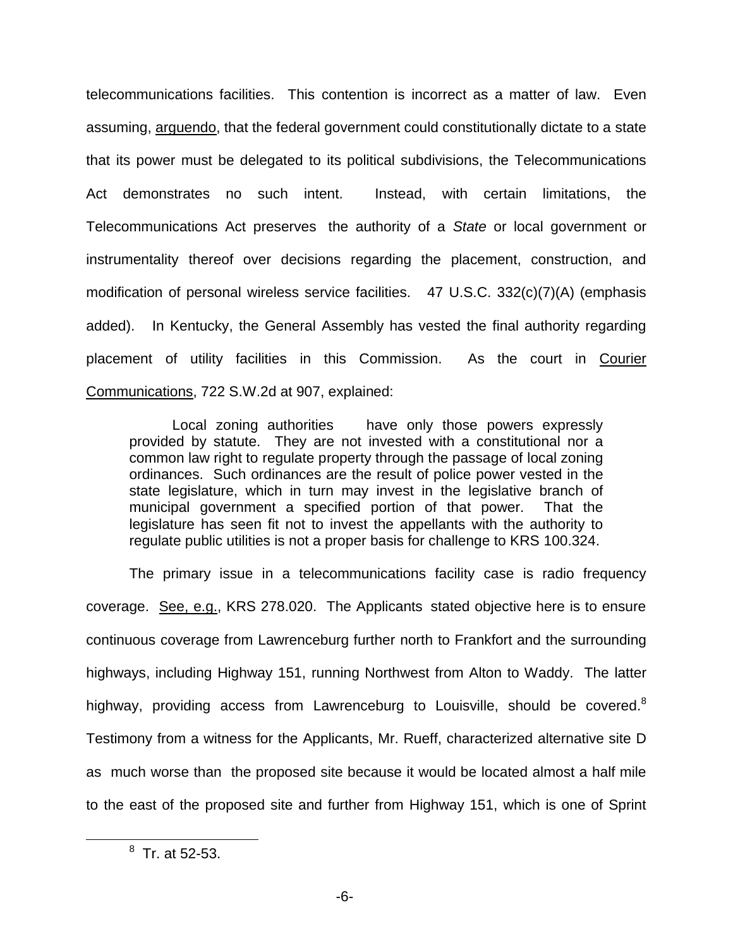telecommunications facilities. This contention is incorrect as a matter of law. Even assuming, arguendo, that the federal government could constitutionally dictate to a state that its power must be delegated to its political subdivisions, the Telecommunications Act demonstrates no such intent. Instead, with certain limitations, the Telecommunications Act preserves the authority of a *State* or local government or instrumentality thereof over decisions regarding the placement, construction, and modification of personal wireless service facilities. 47 U.S.C. 332(c)(7)(A) (emphasis added). In Kentucky, the General Assembly has vested the final authority regarding placement of utility facilities in this Commission. As the court in Courier Communications, 722 S.W.2d at 907, explained:

Local zoning authorities have only those powers expressly provided by statute. They are not invested with a constitutional nor a common law right to regulate property through the passage of local zoning ordinances. Such ordinances are the result of police power vested in the state legislature, which in turn may invest in the legislative branch of municipal government a specified portion of that power. That the legislature has seen fit not to invest the appellants with the authority to regulate public utilities is not a proper basis for challenge to KRS 100.324.

The primary issue in a telecommunications facility case is radio frequency coverage. See, e.g., KRS 278.020. The Applicants stated objective here is to ensure continuous coverage from Lawrenceburg further north to Frankfort and the surrounding highways, including Highway 151, running Northwest from Alton to Waddy. The latter highway, providing access from Lawrenceburg to Louisville, should be covered.<sup>8</sup> Testimony from a witness for the Applicants, Mr. Rueff, characterized alternative site D as much worse than the proposed site because it would be located almost a half mile to the east of the proposed site and further from Highway 151, which is one of Sprint

 $8$  Tr. at 52-53.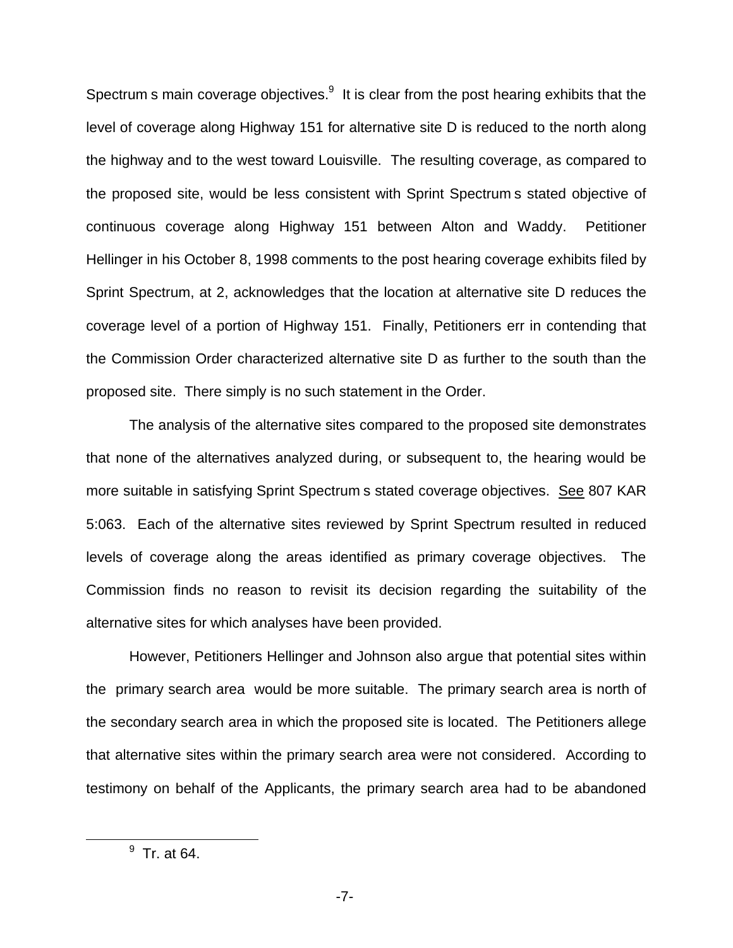Spectrum s main coverage objectives.<sup>9</sup> It is clear from the post hearing exhibits that the level of coverage along Highway 151 for alternative site D is reduced to the north along the highway and to the west toward Louisville. The resulting coverage, as compared to the proposed site, would be less consistent with Sprint Spectrum s stated objective of continuous coverage along Highway 151 between Alton and Waddy. Petitioner Hellinger in his October 8, 1998 comments to the post hearing coverage exhibits filed by Sprint Spectrum, at 2, acknowledges that the location at alternative site D reduces the coverage level of a portion of Highway 151. Finally, Petitioners err in contending that the Commission Order characterized alternative site D as further to the south than the proposed site. There simply is no such statement in the Order.

The analysis of the alternative sites compared to the proposed site demonstrates that none of the alternatives analyzed during, or subsequent to, the hearing would be more suitable in satisfying Sprint Spectrum s stated coverage objectives. See 807 KAR 5:063. Each of the alternative sites reviewed by Sprint Spectrum resulted in reduced levels of coverage along the areas identified as primary coverage objectives. The Commission finds no reason to revisit its decision regarding the suitability of the alternative sites for which analyses have been provided.

However, Petitioners Hellinger and Johnson also argue that potential sites within the primary search area would be more suitable. The primary search area is north of the secondary search area in which the proposed site is located. The Petitioners allege that alternative sites within the primary search area were not considered. According to testimony on behalf of the Applicants, the primary search area had to be abandoned

 $9$  Tr. at 64.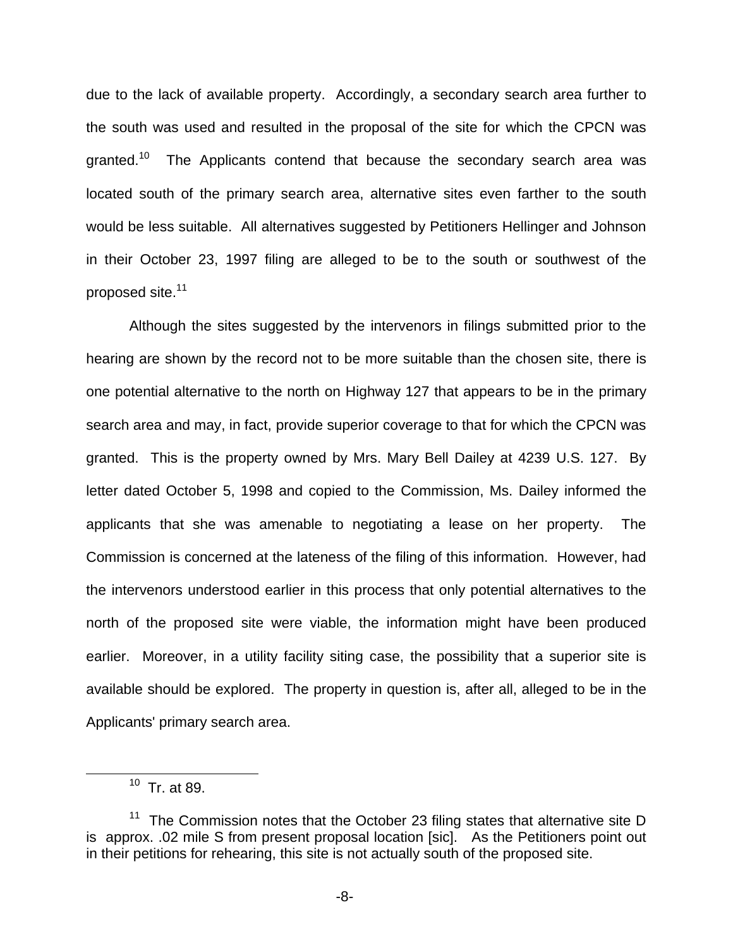due to the lack of available property. Accordingly, a secondary search area further to the south was used and resulted in the proposal of the site for which the CPCN was granted.<sup>10</sup> The Applicants contend that because the secondary search area was located south of the primary search area, alternative sites even farther to the south would be less suitable. All alternatives suggested by Petitioners Hellinger and Johnson in their October 23, 1997 filing are alleged to be to the south or southwest of the proposed site.<sup>11</sup>

Although the sites suggested by the intervenors in filings submitted prior to the hearing are shown by the record not to be more suitable than the chosen site, there is one potential alternative to the north on Highway 127 that appears to be in the primary search area and may, in fact, provide superior coverage to that for which the CPCN was granted. This is the property owned by Mrs. Mary Bell Dailey at 4239 U.S. 127. By letter dated October 5, 1998 and copied to the Commission, Ms. Dailey informed the applicants that she was amenable to negotiating a lease on her property. The Commission is concerned at the lateness of the filing of this information. However, had the intervenors understood earlier in this process that only potential alternatives to the north of the proposed site were viable, the information might have been produced earlier. Moreover, in a utility facility siting case, the possibility that a superior site is available should be explored. The property in question is, after all, alleged to be in the Applicants' primary search area.

 $10$  Tr. at 89.

 $11$  The Commission notes that the October 23 filing states that alternative site D is approx. .02 mile S from present proposal location [sic]. As the Petitioners point out in their petitions for rehearing, this site is not actually south of the proposed site.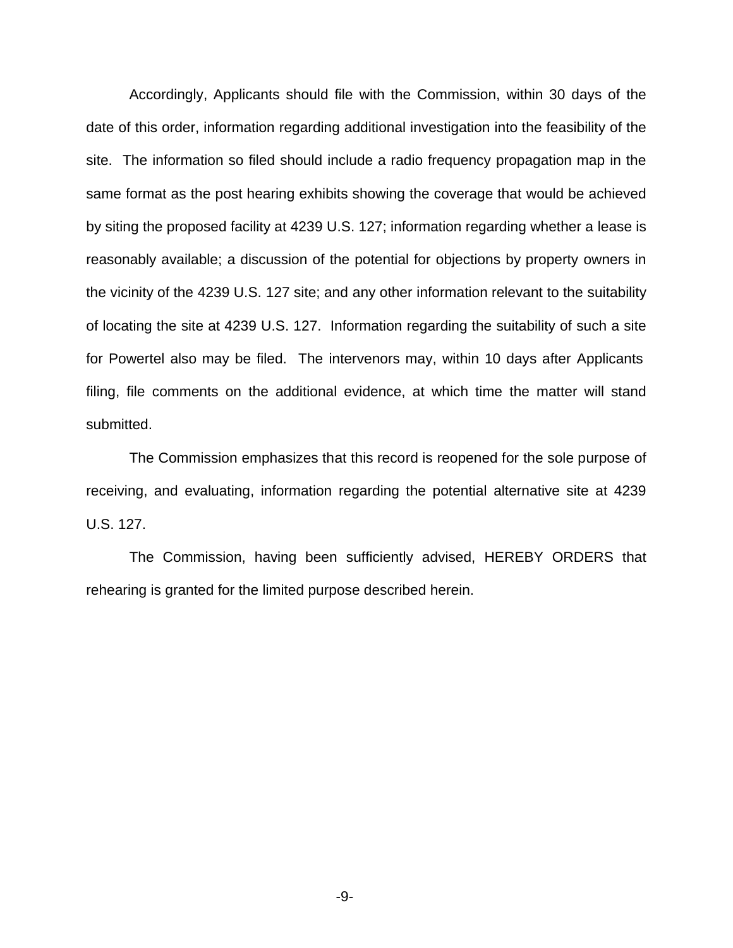Accordingly, Applicants should file with the Commission, within 30 days of the date of this order, information regarding additional investigation into the feasibility of the site. The information so filed should include a radio frequency propagation map in the same format as the post hearing exhibits showing the coverage that would be achieved by siting the proposed facility at 4239 U.S. 127; information regarding whether a lease is reasonably available; a discussion of the potential for objections by property owners in the vicinity of the 4239 U.S. 127 site; and any other information relevant to the suitability of locating the site at 4239 U.S. 127. Information regarding the suitability of such a site for Powertel also may be filed. The intervenors may, within 10 days after Applicants filing, file comments on the additional evidence, at which time the matter will stand submitted.

The Commission emphasizes that this record is reopened for the sole purpose of receiving, and evaluating, information regarding the potential alternative site at 4239 U.S. 127.

The Commission, having been sufficiently advised, HEREBY ORDERS that rehearing is granted for the limited purpose described herein.

-9-